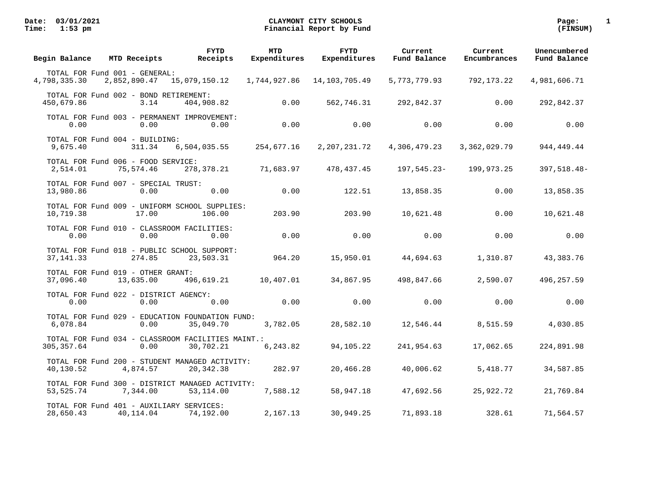| Begin Balance                                         | MTD Receipts | FYTD<br>Receipts                                               | <b>MTD</b><br>Expenditures | <b>FYTD</b><br>Expenditures | Current<br>Fund Balance | Current<br>Encumbrances | Unencumbered<br>Fund Balance |
|-------------------------------------------------------|--------------|----------------------------------------------------------------|----------------------------|-----------------------------|-------------------------|-------------------------|------------------------------|
| TOTAL FOR Fund 001 - GENERAL:<br>4,798,335.30         | 2,852,890.47 | 15,079,150.12    1,744,927.86                                  |                            | 14,103,705.49               | 5,773,779.93            | 792,173.22              | 4,981,606.71                 |
| TOTAL FOR Fund 002 - BOND RETIREMENT:<br>450,679.86   | 3.14         | 404,908.82                                                     | 0.00                       | 562,746.31                  | 292,842.37              | 0.00                    | 292,842.37                   |
| 0.00                                                  | 0.00         | TOTAL FOR Fund 003 - PERMANENT IMPROVEMENT:<br>0.00            | 0.00                       | 0.00                        | 0.00                    | 0.00                    | 0.00                         |
| TOTAL FOR Fund 004 - BUILDING:<br>9,675.40            | 311.34       | 6,504,035.55                                                   | 254,677.16                 | 2,207,231.72                | 4,306,479.23            | 3,362,029.79            | 944, 449. 44                 |
| TOTAL FOR Fund 006 - FOOD SERVICE:<br>2,514.01        | 75,574.46    | 278,378.21                                                     | 71,683.97                  | 478,437.45                  | 197,545.23-             | 199,973.25              | 397,518.48-                  |
| TOTAL FOR Fund 007 - SPECIAL TRUST:<br>13,980.86      | 0.00         | 0.00                                                           | 0.00                       | 122.51                      | 13,858.35               | 0.00                    | 13,858.35                    |
| 10,719.38                                             | 17.00        | TOTAL FOR Fund 009 - UNIFORM SCHOOL SUPPLIES:<br>106.00        | 203.90                     | 203.90                      | 10,621.48               | 0.00                    | 10,621.48                    |
| TOTAL FOR Fund 010 - CLASSROOM FACILITIES:<br>0.00    | 0.00         | 0.00                                                           | 0.00                       | 0.00                        | 0.00                    | 0.00                    | 0.00                         |
| 37, 141.33                                            | 274.85       | TOTAL FOR Fund 018 - PUBLIC SCHOOL SUPPORT:<br>23,503.31       | 964.20                     | 15,950.01                   | 44,694.63               | 1,310.87                | 43,383.76                    |
| TOTAL FOR Fund 019 - OTHER GRANT:<br>37,096.40        | 13,635.00    | 496,619.21                                                     | 10,407.01                  | 34,867.95                   | 498,847.66              | 2,590.07                | 496,257.59                   |
| TOTAL FOR Fund 022 - DISTRICT AGENCY:<br>0.00         | 0.00         | 0.00                                                           | 0.00                       | 0.00                        | 0.00                    | 0.00                    | 0.00                         |
| 6,078.84                                              | 0.00         | TOTAL FOR Fund 029 - EDUCATION FOUNDATION FUND:<br>35,049.70   | 3,782.05                   | 28,582.10                   | 12,546.44               | 8,515.59                | 4,030.85                     |
| 305, 357.64                                           | 0.00         | TOTAL FOR Fund 034 - CLASSROOM FACILITIES MAINT.:<br>30,702.21 | 6,243.82                   | 94,105.22                   | 241,954.63              | 17,062.65               | 224,891.98                   |
| 40,130.52                                             | 4,874.57     | TOTAL FOR Fund 200 - STUDENT MANAGED ACTIVITY:<br>20,342.38    | 282.97                     | 20,466.28                   | 40,006.62               | 5,418.77                | 34,587.85                    |
| 53, 525. 74                                           | 7,344.00     | TOTAL FOR Fund 300 - DISTRICT MANAGED ACTIVITY:<br>53,114.00   | 7,588.12                   | 58,947.18                   | 47,692.56               | 25,922.72               | 21,769.84                    |
| TOTAL FOR Fund 401 - AUXILIARY SERVICES:<br>28,650.43 | 40,114.04    | 74,192.00                                                      | 2,167.13                   | 30,949.25                   | 71,893.18               | 328.61                  | 71,564.57                    |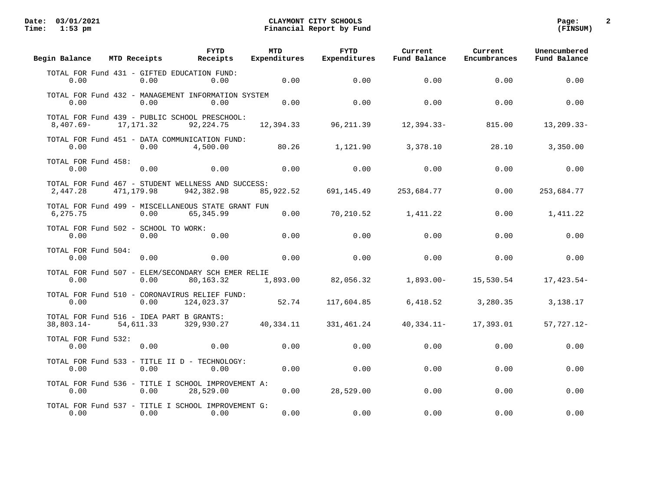| Begin Balance                                            | MTD Receipts | <b>FYTD</b><br>Receipts                                          | <b>MTD</b><br>Expenditures | <b>FYTD</b><br>Expenditures | Current<br>Fund Balance | Current<br>Encumbrances | Unencumbered<br>Fund Balance |
|----------------------------------------------------------|--------------|------------------------------------------------------------------|----------------------------|-----------------------------|-------------------------|-------------------------|------------------------------|
| 0.00                                                     | 0.00         | TOTAL FOR Fund 431 - GIFTED EDUCATION FUND:<br>0.00              | 0.00                       | 0.00                        | 0.00                    | 0.00                    | 0.00                         |
| 0.00                                                     | 0.00         | TOTAL FOR Fund 432 - MANAGEMENT INFORMATION SYSTEM<br>0.00       | 0.00                       | 0.00                        | 0.00                    | 0.00                    | 0.00                         |
| $8,407.69 -$                                             | 17, 171.32   | TOTAL FOR Fund 439 - PUBLIC SCHOOL PRESCHOOL:<br>92, 224. 75     | 12,394.33                  | 96, 211.39                  | $12,394.33 -$           | 815.00                  | $13, 209.33 -$               |
| 0.00                                                     | 0.00         | TOTAL FOR Fund 451 - DATA COMMUNICATION FUND:<br>4,500.00        | 80.26                      | 1,121.90                    | 3,378.10                | 28.10                   | 3,350.00                     |
| TOTAL FOR Fund 458:<br>0.00                              | 0.00         | 0.00                                                             | 0.00                       | 0.00                        | 0.00                    | 0.00                    | 0.00                         |
| 2,447.28                                                 | 471,179.98   | TOTAL FOR Fund 467 - STUDENT WELLNESS AND SUCCESS:<br>942,382.98 | 85,922.52                  | 691,145.49                  | 253,684.77              | 0.00                    | 253,684.77                   |
| 6,275.75                                                 | 0.00         | TOTAL FOR Fund 499 - MISCELLANEOUS STATE GRANT FUN<br>65,345.99  | 0.00                       | 70,210.52                   | 1,411.22                | 0.00                    | 1,411.22                     |
| TOTAL FOR Fund 502 - SCHOOL TO WORK:<br>0.00             | 0.00         | 0.00                                                             | 0.00                       | 0.00                        | 0.00                    | 0.00                    | 0.00                         |
| TOTAL FOR Fund 504:<br>0.00                              | 0.00         | 0.00                                                             | 0.00                       | 0.00                        | 0.00                    | 0.00                    | 0.00                         |
| 0.00                                                     | 0.00         | TOTAL FOR Fund 507 - ELEM/SECONDARY SCH EMER RELIE<br>80,163.32  | 1,893.00                   | 82,056.32                   | $1,893.00-$             | 15,530.54               | 17,423.54-                   |
| 0.00                                                     | 0.00         | TOTAL FOR Fund 510 - CORONAVIRUS RELIEF FUND:<br>124,023.37      | 52.74                      | 117,604.85                  | 6,418.52                | 3,280.35                | 3,138.17                     |
| TOTAL FOR Fund 516 - IDEA PART B GRANTS:<br>$38,803.14-$ | 54,611.33    | 329,930.27                                                       | 40,334.11                  | 331,461.24                  | $40,334.11 -$           | 17,393.01               | 57,727.12-                   |
| TOTAL FOR Fund 532:<br>0.00                              | 0.00         | 0.00                                                             | 0.00                       | 0.00                        | 0.00                    | 0.00                    | 0.00                         |
| 0.00                                                     | 0.00         | TOTAL FOR Fund 533 - TITLE II D - TECHNOLOGY:<br>0.00            | 0.00                       | 0.00                        | 0.00                    | 0.00                    | 0.00                         |
| 0.00                                                     | 0.00         | TOTAL FOR Fund 536 - TITLE I SCHOOL IMPROVEMENT A:<br>28,529.00  | 0.00                       | 28,529.00                   | 0.00                    | 0.00                    | 0.00                         |
| 0.00                                                     | 0.00         | TOTAL FOR Fund 537 - TITLE I SCHOOL IMPROVEMENT G:<br>0.00       | 0.00                       | 0.00                        | 0.00                    | 0.00                    | 0.00                         |